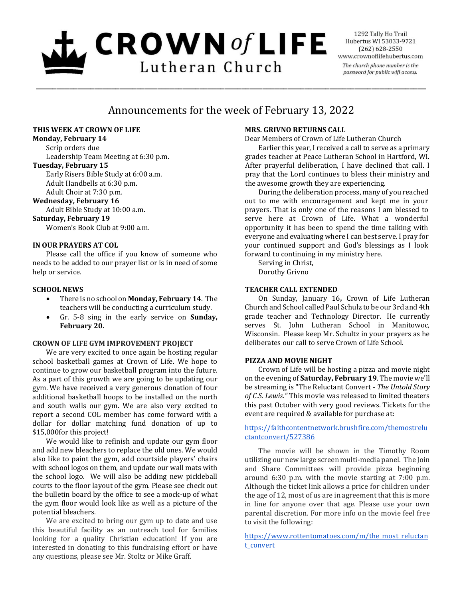# $L$  CROWN of LIFE Lutheran Church

1292 Tally Ho Trail Hubertus WI 53033-9721  $(262)$  628-2550 www.crownoflifehubertus.com The church phone number is the password for public wifi access.

# Announcements for the week of February 13, 2022

\_\_\_\_\_\_\_\_\_\_\_\_\_\_\_\_\_\_\_\_\_\_\_\_\_\_\_\_\_\_\_\_\_\_\_\_\_\_\_\_\_\_\_\_\_\_\_\_\_\_\_\_\_\_\_\_\_\_\_\_\_\_\_\_\_\_\_\_\_\_\_\_\_\_\_\_\_\_\_\_\_\_\_\_\_\_\_\_\_\_\_\_\_

# **THIS WEEK AT CROWN OF LIFE**

# **Monday, February 14**

Scrip orders due Leadership Team Meeting at 6:30 p.m. **Tuesday, February 15**

Early Risers Bible Study at 6:00 a.m. Adult Handbells at 6:30 p.m. Adult Choir at 7:30 p.m.

**Wednesday, February 16** Adult Bible Study at 10:00 a.m.

**Saturday, February 19**

Women's Book Club at 9:00 a.m.

# **IN OUR PRAYERS AT COL**

Please call the office if you know of someone who needs to be added to our prayer list or is in need of some help or service.

# **SCHOOL NEWS**

- There is no school on **Monday, February 14**. The teachers will be conducting a curriculum study.
- Gr. 5-8 sing in the early service on **Sunday, February 20.**

# **CROWN OF LIFE GYM IMPROVEMENT PROJECT**

We are very excited to once again be hosting regular school basketball games at Crown of Life. We hope to continue to grow our basketball program into the future. As a part of this growth we are going to be updating our gym. We have received a very generous donation of four additional basketball hoops to be installed on the north and south walls our gym. We are also very excited to report a second COL member has come forward with a dollar for dollar matching fund donation of up to \$15,000for this project!

We would like to refinish and update our gym floor and add new bleachers to replace the old ones. We would also like to paint the gym, add courtside players' chairs with school logos on them, and update our wall mats with the school logo. We will also be adding new pickleball courts to the floor layout of the gym. Please see check out the bulletin board by the office to see a mock-up of what the gym floor would look like as well as a picture of the potential bleachers.

We are excited to bring our gym up to date and use this beautiful facility as an outreach tool for families looking for a quality Christian education! If you are interested in donating to this fundraising effort or have any questions, please see Mr. Stoltz or Mike Graff.

# **MRS. GRIVNO RETURNS CALL**

Dear Members of Crown of Life Lutheran Church

Earlier this year, I received a call to serve as a primary grades teacher at Peace Lutheran School in Hartford, WI. After prayerful deliberation, I have declined that call. I pray that the Lord continues to bless their ministry and the awesome growth they are experiencing.

During the deliberation process, many of you reached out to me with encouragement and kept me in your prayers. That is only one of the reasons I am blessed to serve here at Crown of Life. What a wonderful opportunity it has been to spend the time talking with everyone and evaluating where I can best serve. I pray for your continued support and God's blessings as I look forward to continuing in my ministry here.

Serving in Christ, Dorothy Grivno

# **TEACHER CALL EXTENDED**

On Sunday, January 16**,** Crown of Life Lutheran Church and School called Paul Schulz to be our 3rd and 4th grade teacher and Technology Director. He currently serves St. John Lutheran School in Manitowoc, Wisconsin. Please keep Mr. Schultz in your prayers as he deliberates our call to serve Crown of Life School.

# **PIZZA AND MOVIE NIGHT**

Crown of Life will be hosting a pizza and movie night on the evening of **Saturday, February 19**. The movie we'll be streaming is "The Reluctant Convert - *The Untold Story of C.S. Lewis."* This movie was released to limited theaters this past October with very good reviews. Tickets for the event are required & available for purchase at:

[https://faithcontentnetwork.brushfire.com/themostrelu](https://faithcontentnetwork.brushfire.com/themostreluctantconvert/527386) [ctantconvert/527386](https://faithcontentnetwork.brushfire.com/themostreluctantconvert/527386)

The movie will be shown in the Timothy Room utilizing our new large screen multi-media panel. The Join and Share Committees will provide pizza beginning around 6:30 p.m. with the movie starting at 7:00 p.m. Although the ticket link allows a price for children under the age of 12, most of us are in agreement that this is more in line for anyone over that age. Please use your own parental discretion. For more info on the movie feel free to visit the following:

[https://www.rottentomatoes.com/m/the\\_most\\_reluctan](https://www.rottentomatoes.com/m/the_most_reluctant_convert) [t\\_convert](https://www.rottentomatoes.com/m/the_most_reluctant_convert)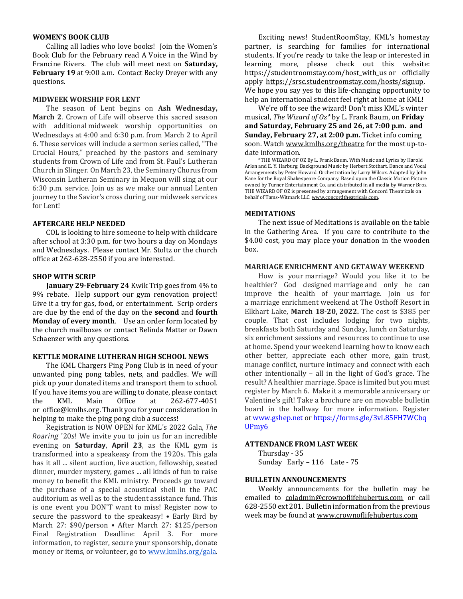#### **WOMEN'S BOOK CLUB**

Calling all ladies who love books! Join the Women's Book Club for the February read A Voice in the Wind by Francine Rivers. The club will meet next on **Saturday, February 19** at 9:00 a.m. Contact Becky Dreyer with any questions.

#### **MIDWEEK WORSHIP FOR LENT**

The season of Lent begins on **Ash Wednesday, March 2**. Crown of Life will observe this sacred season with additional midweek worship opportunities on Wednesdays at 4:00 and 6:30 p.m. from March 2 to April 6. These services will include a sermon series called, "The Crucial Hours," preached by the pastors and seminary students from Crown of Life and from St. Paul's Lutheran Church in Slinger. On March 23, the Seminary Chorus from Wisconsin Lutheran Seminary in Mequon will sing at our 6:30 p.m. service. Join us as we make our annual Lenten journey to the Savior's cross during our midweek services for Lent!

#### **AFTERCARE HELP NEEDED**

COL is looking to hire someone to help with childcare after school at 3:30 p.m. for two hours a day on Mondays and Wednesdays. Please contact Mr. Stoltz or the church office at 262-628-2550 if you are interested.

# **SHOP WITH SCRIP**

**January 29-February 24** Kwik Trip goes from 4% to 9% rebate. Help support our gym renovation project! Give it a try for gas, food, or entertainment. Scrip orders are due by the end of the day on the **second** and **fourth Monday of every month**. Use an order form located by the church mailboxes or contact Belinda Matter or Dawn Schaenzer with any questions.

#### **KETTLE MORAINE LUTHERAN HIGH SCHOOL NEWS**

The KML Chargers Ping Pong Club is in need of your unwanted ping pong tables, nets, and paddles. We will pick up your donated items and transport them to school. If you have items you are willing to donate, please contact the KML Main Office at 262-677-4051 or [office@kmlhs.org.](mailto:office@kmlhs.org) Thank you for your consideration in helping to make the ping pong club a success!

Registration is NOW OPEN for KML's 2022 Gala, Roaring '20s! We invite you to join us for an incredible evening on Saturday, April 23, as the KML gym is transformed into a speakeasy from the 1920s. This gala has it all ... silent auction, live auction, fellowship, seated dinner, murder mystery, games ... all kinds of fun to raise money to benefit the KML ministry. Proceeds go toward the purchase of a special acoustical shell in the PAC auditorium as well as to the student assistance fund. This is one event you DON'T want to miss! Register now to secure the password to the speakeasy! • Early Bird by March 27: \$90/person • After March 27: \$125/person Final Registration Deadline: April 3. For more information, to register, secure your sponsorship, donate money or items, or volunteer, go to [www.kmlhs.org/gala.](http://www.kmlhs.org/gala)

Exciting news! StudentRoomStay, KML's homestay partner, is searching for families for international students. If you're ready to take the leap or interested in learning more, please check out this website: [https://studentroomstay.com/host\\_with\\_us](https://studentroomstay.com/host_with_us) or officially apply [https://srsc.studentroomstay.com/hosts/signup.](https://srsc.studentroomstay.com/hosts/signup)  We hope you say yes to this life-changing opportunity to help an international student feel right at home at KML!

We're off to see the wizard! Don't miss KML's winter musical, *The Wizard of Oz\** by L. Frank Baum, on **Friday and Saturday, February 25 and 26, at 7:00 p.m. and Sunday, February 27, at 2:00 p.m.** Ticket info coming soon. Watch [www.kmlhs.org/theatre](http://www.kmlhs.org/theatre) for the most up-todate information.

\*THE WIZARD OF OZ By L. Frank Baum. With Music and Lyrics by Harold Arlen and E. Y. Harburg. Background Music by Herbert Stothart. Dance and Vocal Arrangements by Peter Howard. Orchestration by Larry Wilcox. Adapted by John Kane for the Royal Shakespeare Company. Based upon the Classic Motion Picture owned by Turner Entertainment Co. and distributed in all media by Warner Bros. THE WIZARD OF OZ is presented by arrangement with Concord Theatricals on behalf of Tams-Witmark LLC. [www.concordtheatricals.com.](http://www.concordtheatricals.com/)

#### **MEDITATIONS**

The next issue of Meditations is available on the table in the Gathering Area. If you care to contribute to the \$4.00 cost, you may place your donation in the wooden box.

#### **MARRIAGE ENRICHMENT AND GETAWAY WEEKEND**

How is your marriage? Would you like it to be healthier? God designed marriage and only he can improve the health of your marriage. Join us for a marriage enrichment weekend at The Osthoff Resort in Elkhart Lake, **March 18-20, 2022.** The cost is \$385 per couple. That cost includes lodging for two nights, breakfasts both Saturday and Sunday, lunch on Saturday, six enrichment sessions and resources to continue to use at home. Spend your weekend learning how to know each other better, appreciate each other more, gain trust, manage conflict, nurture intimacy and connect with each other intentionally – all in the light of God's grace. The result? A healthier marriage. Space is limited but you must register by March 6. Make it a memorable anniversary or Valentine's gift! Take a brochure are on movable bulletin board in the hallway for more information. Register at [www.gshep.net](http://www.gshep.net/) or [https://forms.gle/3vL85FH7WCbq](https://forms.gle/3vL85FH7WCbqUPmy6) [UPmy6](https://forms.gle/3vL85FH7WCbqUPmy6)

#### **ATTENDANCE FROM LAST WEEK**

Thursday - 35 Sunday Early **–** 116 Late - 75

#### **BULLETIN ANNOUNCEMENTS**

Weekly announcements for the bulletin may be emailed to [coladmin@crownoflifehubertus.com](mailto:coladmin@crownoflifehubertus.com) or call 628-2550 ext 201. Bulletin information from the previous week may be found a[t www.crownoflifehubertus.com](http://www.crownoflifehubertus.com/)